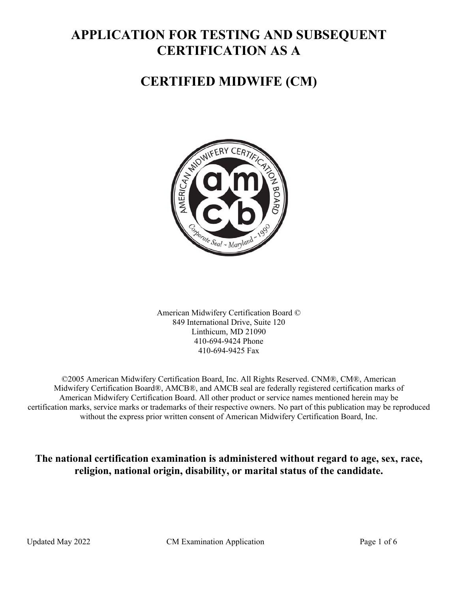# **APPLICATION FOR TESTING AND SUBSEQUENT CERTIFICATION AS A**

# **CERTIFIED MIDWIFE (CM)**



American Midwifery Certification Board © 849 International Drive, Suite 120 Linthicum, MD 21090 410-694-9424 Phone 410-694-9425 Fax

©2005 American Midwifery Certification Board, Inc. All Rights Reserved. CNM®, CM®, American Midwifery Certification Board®, AMCB®, and AMCB seal are federally registered certification marks of American Midwifery Certification Board. All other product or service names mentioned herein may be certification marks, service marks or trademarks of their respective owners. No part of this publication may be reproduced without the express prior written consent of American Midwifery Certification Board, Inc.

**The national certification examination is administered without regard to age, sex, race, religion, national origin, disability, or marital status of the candidate.**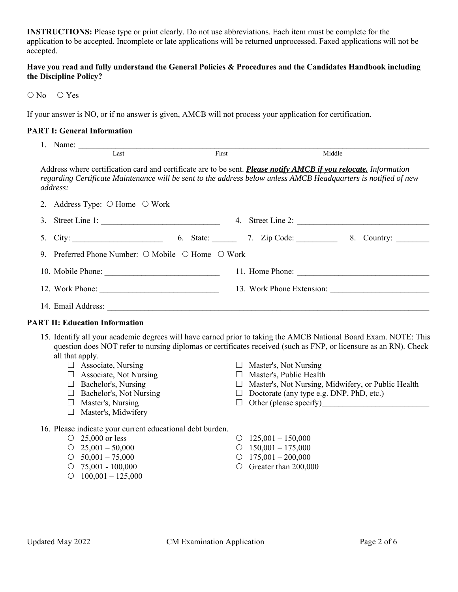**INSTRUCTIONS:** Please type or print clearly. Do not use abbreviations. Each item must be complete for the application to be accepted. Incomplete or late applications will be returned unprocessed. Faxed applications will not be accepted.

# **Have you read and fully understand the General Policies & Procedures and the Candidates Handbook including the Discipline Policy?**

O No O Yes

If your answer is NO, or if no answer is given, AMCB will not process your application for certification.

#### **PART I: General Information**

|    | 1. Name:                                                                   | Last                                                                                                                                                                                                                                         | First |  |                                                                                                                                                | Middle                                                                                                                                                                                                                                                                                                                        |  |
|----|----------------------------------------------------------------------------|----------------------------------------------------------------------------------------------------------------------------------------------------------------------------------------------------------------------------------------------|-------|--|------------------------------------------------------------------------------------------------------------------------------------------------|-------------------------------------------------------------------------------------------------------------------------------------------------------------------------------------------------------------------------------------------------------------------------------------------------------------------------------|--|
|    | address:                                                                   |                                                                                                                                                                                                                                              |       |  |                                                                                                                                                | Address where certification card and certificate are to be sent. Please notify AMCB if you relocate. Information<br>regarding Certificate Maintenance will be sent to the address below unless AMCB Headquarters is notified of new                                                                                           |  |
| 2. |                                                                            | Address Type: $\bigcirc$ Home $\bigcirc$ Work                                                                                                                                                                                                |       |  |                                                                                                                                                |                                                                                                                                                                                                                                                                                                                               |  |
| 3. |                                                                            |                                                                                                                                                                                                                                              |       |  |                                                                                                                                                |                                                                                                                                                                                                                                                                                                                               |  |
| 5. |                                                                            |                                                                                                                                                                                                                                              |       |  |                                                                                                                                                | City: 6. State: 7. Zip Code: 8. Country:                                                                                                                                                                                                                                                                                      |  |
| 9. | Preferred Phone Number: ○ Mobile ○ Home ○ Work                             |                                                                                                                                                                                                                                              |       |  |                                                                                                                                                |                                                                                                                                                                                                                                                                                                                               |  |
|    |                                                                            |                                                                                                                                                                                                                                              |       |  |                                                                                                                                                |                                                                                                                                                                                                                                                                                                                               |  |
|    |                                                                            |                                                                                                                                                                                                                                              |       |  |                                                                                                                                                |                                                                                                                                                                                                                                                                                                                               |  |
|    |                                                                            |                                                                                                                                                                                                                                              |       |  |                                                                                                                                                |                                                                                                                                                                                                                                                                                                                               |  |
|    | <b>PART II: Education Information</b>                                      |                                                                                                                                                                                                                                              |       |  |                                                                                                                                                |                                                                                                                                                                                                                                                                                                                               |  |
|    | all that apply.<br>$\circ$ 25,000 or less                                  | $\Box$ Associate, Nursing<br>$\Box$ Associate, Not Nursing<br>$\Box$ Bachelor's, Nursing<br>$\Box$ Bachelor's, Not Nursing<br>$\Box$ Master's, Nursing<br>□ Master's, Midwifery<br>16. Please indicate your current educational debt burden. |       |  | $\Box$ Master's, Not Nursing<br>$\Box$ Master's, Public Health<br>$\Box$ Doctorate (any type e.g. DNP, PhD, etc.)<br>$\circ$ 125,001 - 150,000 | 15. Identify all your academic degrees will have earned prior to taking the AMCB National Board Exam. NOTE: This<br>question does NOT refer to nursing diplomas or certificates received (such as FNP, or licensure as an RN). Check<br>□ Master's, Not Nursing, Midwifery, or Public Health<br>$\Box$ Other (please specify) |  |
|    | $O$ 25,001 - 50,000<br>$\circ$ 50,001 - 75,000<br>$\circ$ 75,001 - 100,000 | $\circ$ 100,001 - 125,000                                                                                                                                                                                                                    |       |  | $\circ$ 150,001 - 175,000<br>$\circ$ 175,001 - 200,000<br>$\circ$ Greater than 200,000                                                         |                                                                                                                                                                                                                                                                                                                               |  |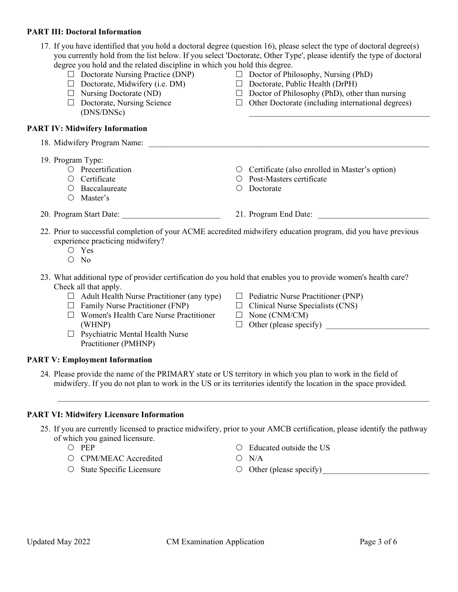#### **PART III: Doctoral Information**

| degree you hold and the related discipline in which you hold this degree.<br>$\Box$ Doctorate Nursing Practice (DNP) $\Box$ Doctor of Philosophy, Nursing (PhD)<br>$\Box$ Doctorate, Midwifery (i.e. DM)<br>$\Box$ Nursing Doctorate (ND)<br>$\Box$ Doctorate, Nursing Science<br>(DNS/DNSc)                                                                                                                                          | 17. If you have identified that you hold a doctoral degree (question 16), please select the type of doctoral degree(s)<br>you currently hold from the list below. If you select 'Doctorate, Other Type', please identify the type of doctoral<br>$\Box$ Doctorate, Public Health (DrPH)<br>$\Box$ Doctor of Philosophy (PhD), other than nursing<br>$\Box$ Other Doctorate (including international degrees) |
|---------------------------------------------------------------------------------------------------------------------------------------------------------------------------------------------------------------------------------------------------------------------------------------------------------------------------------------------------------------------------------------------------------------------------------------|--------------------------------------------------------------------------------------------------------------------------------------------------------------------------------------------------------------------------------------------------------------------------------------------------------------------------------------------------------------------------------------------------------------|
| <b>PART IV: Midwifery Information</b>                                                                                                                                                                                                                                                                                                                                                                                                 |                                                                                                                                                                                                                                                                                                                                                                                                              |
| 18. Midwifery Program Name:                                                                                                                                                                                                                                                                                                                                                                                                           |                                                                                                                                                                                                                                                                                                                                                                                                              |
| 19. Program Type:<br>$\circ$ Precertification<br>O Certificate<br>O Baccalaureate<br>$O$ Master's                                                                                                                                                                                                                                                                                                                                     | O Certificate (also enrolled in Master's option)<br>O Post-Masters certificate<br>Doctorate<br>$\bigcirc$                                                                                                                                                                                                                                                                                                    |
| 20. Program Start Date:                                                                                                                                                                                                                                                                                                                                                                                                               | 21. Program End Date:                                                                                                                                                                                                                                                                                                                                                                                        |
| experience practicing midwifery?<br>$\circ$ Yes<br>$\circ$ No<br>23. What additional type of provider certification do you hold that enables you to provide women's health care?<br>Check all that apply.<br>$\Box$ Adult Health Nurse Practitioner (any type)<br>$\Box$ Family Nurse Practitioner (FNP)<br>$\Box$ Women's Health Care Nurse Practitioner<br>(WHNP)<br>$\Box$ Psychiatric Mental Health Nurse<br>Practitioner (PMHNP) | 22. Prior to successful completion of your ACME accredited midwifery education program, did you have previous<br>$\Box$ Pediatric Nurse Practitioner (PNP)<br>$\Box$ Clinical Nurse Specialists (CNS)<br>$\Box$ None (CNM/CM)<br>$\Box$ Other (please specify)                                                                                                                                               |
| <b>PART V: Employment Information</b>                                                                                                                                                                                                                                                                                                                                                                                                 |                                                                                                                                                                                                                                                                                                                                                                                                              |
| 24. Please provide the name of the PRIMARY state or US territory in which you plan to work in the field of                                                                                                                                                                                                                                                                                                                            | midwifery. If you do not plan to work in the US or its territories identify the location in the space provided.                                                                                                                                                                                                                                                                                              |
| <b>PART VI: Midwifery Licensure Information</b>                                                                                                                                                                                                                                                                                                                                                                                       |                                                                                                                                                                                                                                                                                                                                                                                                              |
| of which you gained licensure.<br>O PEP                                                                                                                                                                                                                                                                                                                                                                                               | 25. If you are currently licensed to practice midwifery, prior to your AMCB certification, please identify the pathway<br>Educated outside the US                                                                                                                                                                                                                                                            |
| <b>CPM/MEAC</b> Accredited<br>$\circ$                                                                                                                                                                                                                                                                                                                                                                                                 | $O$ N/A                                                                                                                                                                                                                                                                                                                                                                                                      |

O State Specific Licensure

Other (please specify) \_\_\_\_\_\_\_\_\_\_\_\_\_\_\_\_\_\_\_\_\_\_\_\_\_\_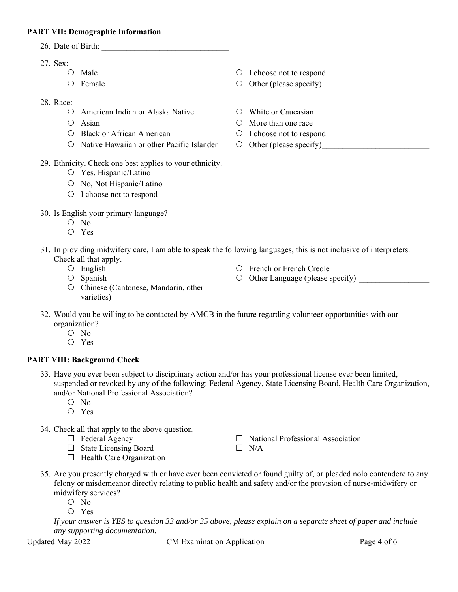# **PART VII: Demographic Information**

- 26. Date of Birth:
- 27. Sex:
	- $\bigcirc$  Male
	- $O$  Female
- 28. Race:
	- American Indian or Alaska Native
	- $O$  Asian
	- O Black or African American
	- $\circ$  Native Hawaiian or other Pacific Islander
- 29. Ethnicity. Check one best applies to your ethnicity.
	- Yes, Hispanic/Latino
	- $\circ$  No, Not Hispanic/Latino
	- O I choose not to respond
- 30. Is English your primary language?
	- O No
	- Yes
- 31. In providing midwifery care, I am able to speak the following languages, this is not inclusive of interpreters. Check all that apply.
	- $\circ$  English
	- $O$  Spanish
- French or French Creole
- $\circ$  Other Language (please specify)

 $\Box$  National Professional Association

- O Chinese (Cantonese, Mandarin, other varieties)
- 32. Would you be willing to be contacted by AMCB in the future regarding volunteer opportunities with our organization?
	- O No
	- Yes

# **PART VIII: Background Check**

- 33. Have you ever been subject to disciplinary action and/or has your professional license ever been limited, suspended or revoked by any of the following: Federal Agency, State Licensing Board, Health Care Organization, and/or National Professional Association?
	- O No
	- Yes
- 34. Check all that apply to the above question.
	- $\Box$  Federal Agency
	- $\Box$  State Licensing Board
	- $\Box$  Health Care Organization
- 35. Are you presently charged with or have ever been convicted or found guilty of, or pleaded nolo contendere to any felony or misdemeanor directly relating to public health and safety and/or the provision of nurse-midwifery or midwifery services?

 $\Box$  N/A

- O No
- Yes

*If your answer is YES to question 33 and/or 35 above, please explain on a separate sheet of paper and include any supporting documentation.* 

Updated May 2022 CM Examination Application CM Examination Application

- O I choose not to respond  $\circ$  Other (please specify)
- White or Caucasian
- More than one race
- $\circ$  I choose not to respond
- $\circ$  Other (please specify)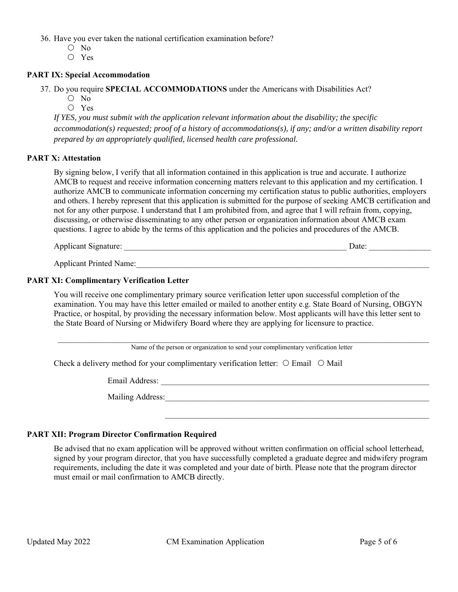36. Have you ever taken the national certification examination before?

- O No
- Yes

#### **PART IX: Special Accommodation**

37. Do you require **SPECIAL ACCOMMODATIONS** under the Americans with Disabilities Act?

 $O$  No

Yes

*If YES, you must submit with the application relevant information about the disability; the specific accommodation(s) requested; proof of a history of accommodations(s), if any; and/or a written disability report prepared by an appropriately qualified, licensed health care professional.* 

#### **PART X: Attestation**

By signing below, I verify that all information contained in this application is true and accurate. I authorize AMCB to request and receive information concerning matters relevant to this application and my certification. I authorize AMCB to communicate information concerning my certification status to public authorities, employers and others. I hereby represent that this application is submitted for the purpose of seeking AMCB certification and not for any other purpose. I understand that I am prohibited from, and agree that I will refrain from, copying, discussing, or otherwise disseminating to any other person or organization information about AMCB exam questions. I agree to abide by the terms of this application and the policies and procedures of the AMCB.

Applicant Signature: \_\_\_\_\_\_\_\_\_\_\_\_\_\_\_\_\_\_\_\_\_\_\_\_\_\_\_\_\_\_\_\_\_\_\_\_\_\_\_\_\_\_\_\_\_\_\_\_\_\_\_\_\_\_ Date: \_\_\_\_\_\_\_\_\_\_\_\_\_\_\_

Applicant Printed Name:

#### **PART XI: Complimentary Verification Letter**

You will receive one complimentary primary source verification letter upon successful completion of the examination. You may have this letter emailed or mailed to another entity e.g. State Board of Nursing, OBGYN Practice, or hospital, by providing the necessary information below. Most applicants will have this letter sent to the State Board of Nursing or Midwifery Board where they are applying for licensure to practice.

Name of the person or organization to send your complimentary verification letter

Check a delivery method for your complimentary verification letter:  $\circ$  Email  $\circ$  Mail

Email Address: \_\_\_\_\_\_\_\_\_\_\_\_\_\_\_\_\_\_\_\_\_\_\_\_\_\_\_\_\_\_\_\_\_\_\_\_\_\_\_\_\_\_\_\_\_\_\_\_\_\_\_\_\_\_\_\_\_\_\_\_\_\_\_\_\_

Mailing Address: \_\_\_\_\_\_\_\_\_\_\_\_\_\_\_\_\_\_\_\_\_\_\_\_\_\_\_\_\_\_\_\_\_\_\_\_\_\_\_\_\_\_\_\_\_\_\_\_\_\_\_\_\_\_\_\_\_\_\_\_\_\_\_\_

# **PART XII: Program Director Confirmation Required**

Be advised that no exam application will be approved without written confirmation on official school letterhead, signed by your program director, that you have successfully completed a graduate degree and midwifery program requirements, including the date it was completed and your date of birth. Please note that the program director must email or mail confirmation to AMCB directly.

\_\_\_\_\_\_\_\_\_\_\_\_\_\_\_\_\_\_\_\_\_\_\_\_\_\_\_\_\_\_\_\_\_\_\_\_\_\_\_\_\_\_\_\_\_\_\_\_\_\_\_\_\_\_\_\_\_\_\_\_\_\_\_\_